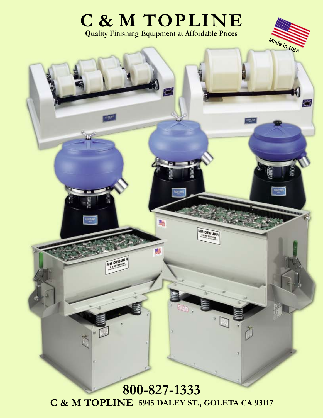## **C & M TOPLINE Quality Finishing Equipment at Affordable Prices**

 $\overline{\mathbf{r}}$ 

L

¢

MR DEBURR

MR DEBURR



ragy

帯

mining.

## **800-827-1333 C & M TOPLINE 5945 DALEY ST., GOLETA CA 93117**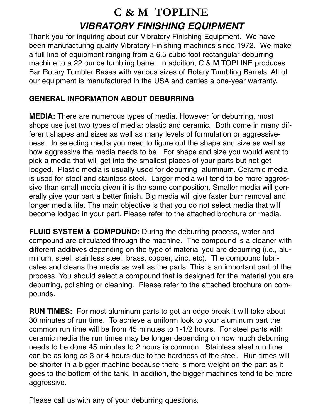## **C & M TOPLINE VIBRATORY FINISHING EQUIPMENT**

Thank you for inquiring about our Vibratory Finishing Equipment. We have been manufacturing quality Vibratory Finishing machines since 1972. We make a full line of equipment ranging from a 6.5 cubic foot rectangular deburring machine to a 22 ounce tumbling barrel. In addition, C & M TOPLINE produces Bar Rotary Tumbler Bases with various sizes of Rotary Tumbling Barrels. All of our equipment is manufactured in the USA and carries a one-year warranty.

### **GENERAL INFORMATION ABOUT DEBURRING**

**MEDIA:** There are numerous types of media. However for deburring, most shops use just two types of media; plastic and ceramic. Both come in many different shapes and sizes as well as many levels of formulation or aggressiveness. In selecting media you need to figure out the shape and size as well as how aggressive the media needs to be. For shape and size you would want to pick a media that will get into the smallest places of your parts but not get lodged. Plastic media is usually used for deburring aluminum. Ceramic media is used for steel and stainless steel. Larger media will tend to be more aggressive than small media given it is the same composition. Smaller media will generally give your part a better finish. Big media will give faster burr removal and longer media life. The main objective is that you do not select media that will become lodged in your part. Please refer to the attached brochure on media.

**FLUID SYSTEM & COMPOUND:** During the deburring process, water and compound are circulated through the machine. The compound is a cleaner with different additives depending on the type of material you are deburring (i.e., aluminum, steel, stainless steel, brass, copper, zinc, etc). The compound lubricates and cleans the media as well as the parts. This is an important part of the process. You should select a compound that is designed for the material you are deburring, polishing or cleaning. Please refer to the attached brochure on compounds.

**RUN TIMES:** For most aluminum parts to get an edge break it will take about 30 minutes of run time. To achieve a uniform look to your aluminum part the common run time will be from 45 minutes to 1-1/2 hours. For steel parts with ceramic media the run times may be longer depending on how much deburring needs to be done 45 minutes to 2 hours is common. Stainless steel run time can be as long as 3 or 4 hours due to the hardness of the steel. Run times will be shorter in a bigger machine because there is more weight on the part as it goes to the bottom of the tank. In addition, the bigger machines tend to be more aggressive.

Please call us with any of your deburring questions.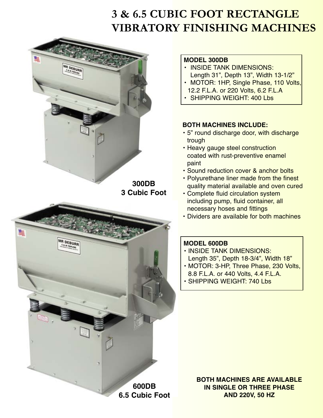# **3 & 6.5 CUBIC FOOT RECTANGLE VIBRATORY FINISHING MACHINES**





#### **MODEL 300DB**

- INSIDE TANK DIMENSIONS: Length 31", Depth 13", Width 13-1/2"
- MOTOR: 1HP, Single Phase, 110 Volts,
- 12.2 F.L.A. or 220 Volts, 6.2 F.L.A
- SHIPPING WEIGHT: 400 Lbs

#### **BOTH MACHINES INCLUDE:**

- 5" round discharge door, with discharge trough
- Heavy gauge steel construction coated with rust-preventive enamel paint
- Sound reduction cover & anchor bolts
- Polyurethane liner made from the finest quality material available and oven cured
- Complete fluid circulation system including pump, fluid container, all necessary hoses and fittings
- Dividers are available for both machines

#### **MODEL 600DB**

- INSIDE TANK DIMENSIONS: Length 35", Depth 18-3/4", Width 18"
- MOTOR: 3-HP, Three Phase, 230 Volts, 8.8 F.L.A. or 440 Volts, 4.4 F.L.A.
- SHIPPING WEIGHT: 740 Lbs

**BOTH MACHINES ARE AVAILABLE IN SINGLE OR THREE PHASE AND 220V, 50 HZ**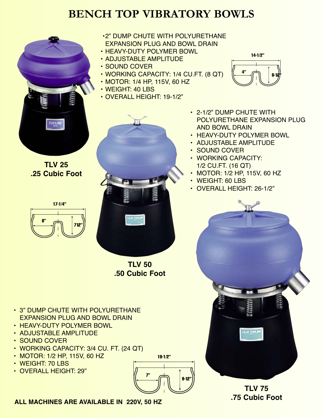# **BENCH TOP VIBRATORY BOWLS**



**TLV 25 .25 Cubic Foot**



- 2" DUMP CHUTE WITH POLYURETHANE EXPANSION PLUG AND BOWL DRAIN
- HEAVY-DUTY POLYMER BOWL
- ADJUSTABLE AMPLITUDE
- SOUND COVER
- WORKING CAPACITY: 1/4 CU.FT. (8 QT)
- MOTOR: 1/4 HP, 115V, 60 HZ
- WEIGHT: 40 LBS
- OVERALL HEIGHT: 19-1/2"



**TLV 50 .50 Cubic Foot**

- 3" DUMP CHUTE WITH POLYURETHANE EXPANSION PLUG AND BOWL DRAIN
- HEAVY-DUTY POLYMER BOWL
- ADJUSTABLE AMPLITUDE
- SOUND COVER
- WORKING CAPACITY: 3/4 CU. FT. (24 QT)
- MOTOR: 1/2 HP, 115V, 60 HZ
- WEIGHT: 70 LBS
- OVERALL HEIGHT: 29"



**7"**

**19-1/2"**

**TLV 75 .75 Cubic Foot**

- **14-1/2" 4" 6-12**
- 2-1/2" DUMP CHUTE WITH POLYURETHANE EXPANSION PLUG AND BOWL DRAIN
- HEAVY-DUTY POLYMER BOWL
- ADJUSTABLE AMPLITUDE
- SOUND COVER
- WORKING CAPACITY: 1/2 CU.FT. (16 QT)
- MOTOR: 1/2 HP, 115V, 60 HZ
- WEIGHT: 60 LBS
- OVERALL HEIGHT: 26-1/2"

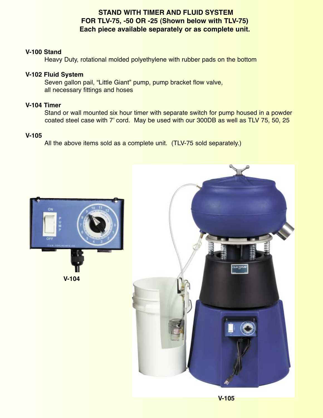#### **STAND WITH TIMER AND FLUID SYSTEM FOR TLV-75, -50 OR -25 (Shown below with TLV-75) Each piece available separately or as complete unit.**

#### **V-100 Stand**

Heavy Duty, rotational molded polyethylene with rubber pads on the bottom

#### **V-102 Fluid System**

Seven gallon pail, "Little Giant" pump, pump bracket flow valve, all necessary fittings and hoses

#### **V-104 Timer**

Stand or wall mounted six hour timer with separate switch for pump housed in a powder coated steel case with 7' cord. May be used with our 300DB as well as TLV 75, 50, 25

#### **V-105**

All the above items sold as a complete unit. (TLV-75 sold separately.)



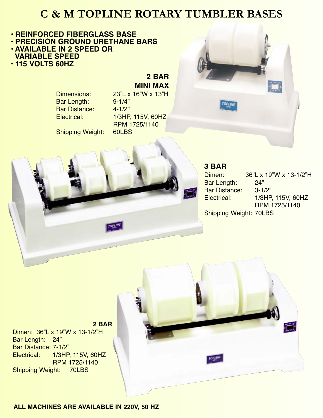## **C & M TOPLINE ROTARY TUMBLER BASES**

### **• REINFORCED FIBERGLASS BASE**

- **PRECISION GROUND URETHANE BARS • AVAILABLE IN 2 SPEED OR**
- **VARIABLE SPEED**
- **115 VOLTS 60HZ**

### **2 BAR MINI MAX**

Bar Length: 9-1/4" Bar Distance: 4-1/2"

Dimensions: 23"L x 16"W x 13"H Electrical: 1/3HP, 115V, 60HZ RPM 1725/1140

Shipping Weight: 60LBS





#### **3 BAR** Dimen: 36"L x 19"W x 13-1/2"H Bar Length: 24" Bar Distance: 3-1/2"<br>Electrical: 1/3HP. 1/3HP, 115V, 60HZ RPM 1725/1140 Shipping Weight: 70LBS

**2 BAR** Dimen: 36"L x 19"W x 13-1/2"H Bar Length: 24" Bar Distance: 7-1/2" Electrical: 1/3HP, 115V, 60HZ RPM 1725/1140 Shipping Weight: 70LBS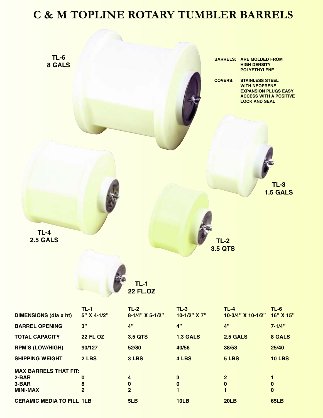## **C & M TOPLINE ROTARY TUMBLER BARRELS**



| <b>DIMENSIONS (dia x ht)</b>     | $TL-1$<br>5" X 4-1/2" | $TL-2$<br>8-1/4" X 5-1/2" | $TL-3$<br>$10-1/2$ " X 7" | $TL-4$<br>10-3/4" X 10-1/2" | $TL-6$<br>$16"$ X $15"$ |
|----------------------------------|-----------------------|---------------------------|---------------------------|-----------------------------|-------------------------|
| <b>BARREL OPENING</b>            | 3"                    | 4"                        | 4"                        | 4"                          | $7 - 1/4"$              |
| <b>TOTAL CAPACITY</b>            | <b>22 FL OZ</b>       | <b>3.5 QTS</b>            | <b>1.3 GALS</b>           | <b>2.5 GALS</b>             | 8 GALS                  |
| <b>RPM'S (LOW/HIGH)</b>          | 90/127                | 52/80                     | 40/56                     | 38/53                       | 25/40                   |
| <b>SHIPPING WEIGHT</b>           | 2 LBS                 | 3 LBS                     | 4 LBS                     | 5 LBS                       | <b>10 LBS</b>           |
| <b>MAX BARRELS THAT FIT:</b>     |                       |                           |                           |                             |                         |
| $2-BAR$                          | 0                     | 4                         | 3                         | $\overline{2}$              |                         |
| 3-BAR                            | 8                     | $\bf{0}$                  | $\bf{0}$                  | $\bf{0}$                    | $\bf{0}$                |
| <b>MINI-MAX</b>                  | $\overline{2}$        | $\overline{2}$            |                           |                             | $\bf{0}$                |
| <b>CERAMIC MEDIA TO FILL 1LB</b> |                       | 5LB                       | 10 <sub>LB</sub>          | 20LB                        | <b>65LB</b>             |